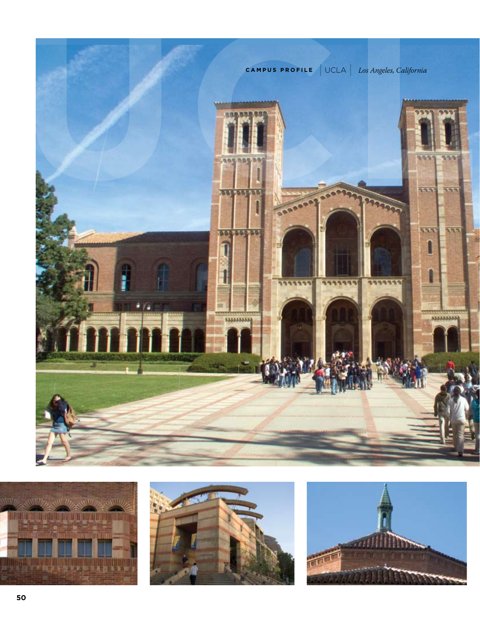





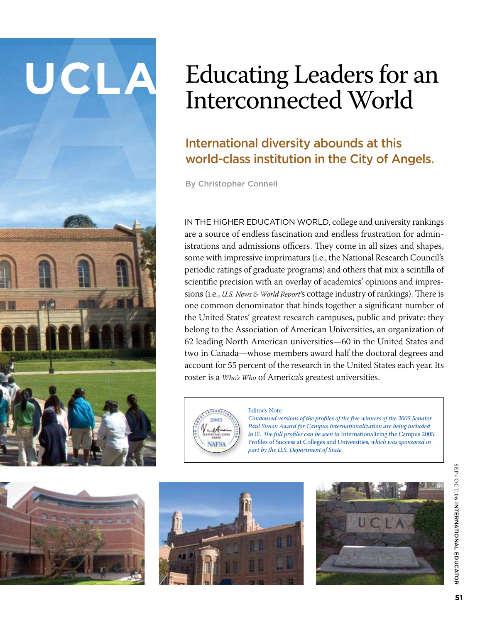# Educating Leaders for an Interconnected World<br>
International diversity abounds at this<br>
world-class institution in the City of Angels.<br>
By Christopher Connell

# International diversity abounds at this world-class institution in the City of Angels.

By Christopher Connell

IN THE HIGHER EDUCATION WORLD, college and university rankings are a source of endless fascination and endless frustration for administrations and admissions officers. They come in all sizes and shapes, some with impressive imprimaturs (i.e., the National Research Council's periodic ratings of graduate programs) and others that mix a scintilla of scientific precision with an overlay of academics' opinions and impressions (i.e., *U.S. News & World Report'*s cottage industry of rankings). There is one common denominator that binds together a significant number of the United States' greatest research campuses, public and private: they belong to the Association of American Universities, an organization of 62 leading North American universities—60 in the United States and two in Canada—whose members award half the doctoral degrees and account for 55 percent of the research in the United States each year. Its roster is a *Who's Who* of America's greatest universities.



### Editor's Note:

*Condensed versions of the profiles of the five winners of the 2005 Senator Paul Simon Award for Campus Internationalization are being included in* IE*. The full profiles can be seen in* Internationalizing the Campus 2005: Profiles of Success at Colleges and Universities*, which was sponsored in part by the U.S. Department of State.*







SE $\frac{1}{2}$ OCT.06 INTERNATION al Educator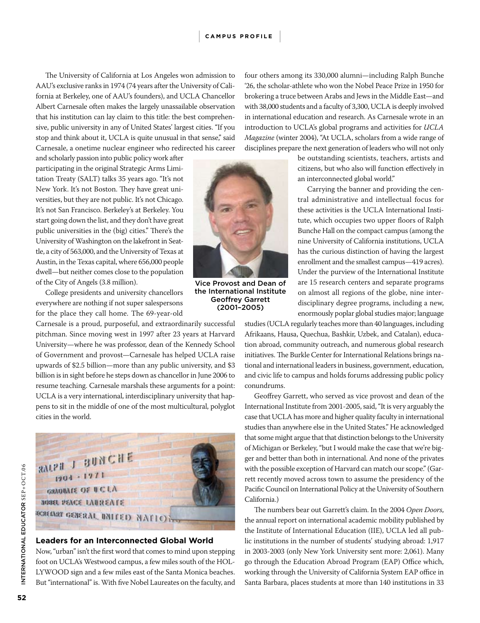The University of California at Los Angeles won admission to AAU's exclusive ranks in 1974 (74 years after the University of California at Berkeley, one of AAU's founders), and UCLA Chancellor Albert Carnesale often makes the largely unassailable observation that his institution can lay claim to this title: the best comprehensive, public university in any of United States' largest cities. "If you stop and think about it, UCLA is quite unusual in that sense," said Carnesale, a onetime nuclear engineer who redirected his career

and scholarly passion into public policy work after participating in the original Strategic Arms Limitation Treaty (SALT) talks 35 years ago. "It's not New York. It's not Boston. They have great universities, but they are not public. It's not Chicago. It's not San Francisco. Berkeley's at Berkeley. You start going down the list, and they don't have great public universities in the (big) cities." There's the University of Washington on the lakefront in Seattle, a city of 563,000, and the University of Texas at Austin, in the Texas capital, where 656,000 people dwell—but neither comes close to the population of the City of Angels (3.8 million).

College presidents and university chancellors everywhere are nothing if not super salespersons for the place they call home. The 69-year-old

Carnesale is a proud, purposeful, and extraordinarily successful pitchman. Since moving west in 1997 after 23 years at Harvard University—where he was professor, dean of the Kennedy School of Government and provost—Carnesale has helped UCLA raise upwards of \$2.5 billion—more than any public university, and \$3 billion is in sight before he steps down as chancellor in June 2006 to resume teaching. Carnesale marshals these arguments for a point: UCLA is a very international, interdisciplinary university that happens to sit in the middle of one of the most multicultural, polyglot cities in the world.



# **Leaders for an Interconnected Global World**

Now, "urban" isn't the first word that comes to mind upon stepping foot on UCLA's Westwood campus, a few miles south of the HOL-LYWOOD sign and a few miles east of the Santa Monica beaches. But "international" is. With five Nobel Laureates on the faculty, and



Vice Provost and Dean of the International Institute Geoffrey Garrett (2001–2005)

four others among its 330,000 alumni—including Ralph Bunche '26, the scholar-athlete who won the Nobel Peace Prize in 1950 for brokering a truce between Arabs and Jews in the Middle East—and with 38,000 students and a faculty of 3,300, UCLA is deeply involved in international education and research. As Carnesale wrote in an introduction to UCLA's global programs and activities for *UCLA Magazine* (winter 2004), "At UCLA, scholars from a wide range of disciplines prepare the next generation of leaders who will not only

> be outstanding scientists, teachers, artists and citizens, but who also will function effectively in an interconnected global world."

> Carrying the banner and providing the central administrative and intellectual focus for these activities is the UCLA International Institute, which occupies two upper floors of Ralph Bunche Hall on the compact campus (among the nine University of California institutions, UCLA has the curious distinction of having the largest enrollment and the smallest campus—419 acres). Under the purview of the International Institute are 15 research centers and separate programs on almost all regions of the globe, nine interdisciplinary degree programs, including a new, enormously poplar global studies major; language

studies (UCLA regularly teaches more than 40 languages, including Afrikaans, Hausa, Quechua, Bashkir, Uzbek, and Catalan), education abroad, community outreach, and numerous global research initiatives. The Burkle Center for International Relations brings national and international leaders in business, government, education, and civic life to campus and holds forums addressing public policy conundrums.

Geoffrey Garrett, who served as vice provost and dean of the International Institute from 2001-2005, said, "It is very arguably the case that UCLA has more and higher quality faculty in international studies than anywhere else in the United States." He acknowledged that some might argue that that distinction belongs to the University of Michigan or Berkeley, "but I would make the case that we're bigger and better than both in international. And none of the privates with the possible exception of Harvard can match our scope." (Garrett recently moved across town to assume the presidency of the Pacific Council on International Policy at the University of Southern California.)

The numbers bear out Garrett's claim. In the 2004 *Open Doors*, the annual report on international academic mobility published by the Institute of International Education (IIE), UCLA led all public institutions in the number of students' studying abroad: 1,917 in 2003-2003 (only New York University sent more: 2,061). Many go through the Education Abroad Program (EAP) Office which, working through the University of California System EAP office in Santa Barbara, places students at more than 140 institutions in 33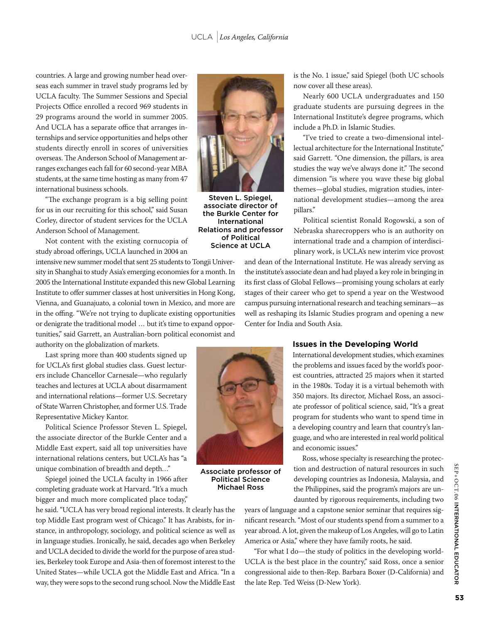countries. A large and growing number head overseas each summer in travel study programs led by UCLA faculty. The Summer Sessions and Special Projects Office enrolled a record 969 students in 29 programs around the world in summer 2005. And UCLA has a separate office that arranges internships and service opportunities and helps other students directly enroll in scores of universities overseas. The Anderson School of Management arranges exchanges each fall for 60 second-year MBA students, at the same time hosting as many from 47 international business schools.

"The exchange program is a big selling point for us in our recruiting for this school," said Susan Corley, director of student services for the UCLA Anderson School of Management.

Not content with the existing cornucopia of study abroad offerings, UCLA launched in 2004 an

intensive new summer model that sent 25 students to Tongji University in Shanghai to study Asia's emerging economies for a month. In 2005 the International Institute expanded this new Global Learning Institute to offer summer classes at host universities in Hong Kong, Vienna, and Guanajuato, a colonial town in Mexico, and more are in the offing. "We're not trying to duplicate existing opportunities or denigrate the traditional model ... but it's time to expand opportunities," said Garrett, an Australian-born political economist and

authority on the globalization of markets.

Last spring more than 400 students signed up for UCLA's first global studies class. Guest lecturers include Chancellor Carnesale—who regularly teaches and lectures at UCLA about disarmament and international relations—former U.S. Secretary of State Warren Christopher, and former U.S. Trade Representative Mickey Kantor.

Political Science Professor Steven L. Spiegel, the associate director of the Burkle Center and a Middle East expert, said all top universities have international relations centers, but UCLA's has "a unique combination of breadth and depth..."

Spiegel joined the UCLA faculty in 1966 after completing graduate work at Harvard. "It's a much bigger and much more complicated place today,"

he said. "UCLA has very broad regional interests. It clearly has the top Middle East program west of Chicago." It has Arabists, for instance, in anthropology, sociology, and political science as well as in language studies. Ironically, he said, decades ago when Berkeley and UCLA decided to divide the world for the purpose of area studies, Berkeley took Europe and Asia-then of foremost interest to the United States—while UCLA got the Middle East and Africa. "In a way, they were sops to the second rung school. Now the Middle East



Steven L. Spiegel, associate director of the Burkle Center for International Relations and professor of Political Science at UCLA

is the No. 1 issue," said Spiegel (both UC schools now cover all these areas).

Nearly 600 UCLA undergraduates and 150 graduate students are pursuing degrees in the International Institute's degree programs, which include a Ph.D. in Islamic Studies.

"I've tried to create a two-dimensional intellectual architecture for the International Institute," said Garrett. "One dimension, the pillars, is area studies the way we've always done it." The second dimension "is where you wave these big global themes—global studies, migration studies, international development studies—among the area pillars."

Political scientist Ronald Rogowski, a son of Nebraska sharecroppers who is an authority on international trade and a champion of interdisciplinary work, is UCLA's new interim vice provost

and dean of the International Institute. He was already serving as the institute's associate dean and had played a key role in bringing in its first class of Global Fellows—promising young scholars at early stages of their career who get to spend a year on the Westwood campus pursuing international research and teaching seminars—as well as reshaping its Islamic Studies program and opening a new Center for India and South Asia.



International development studies, which examines the problems and issues faced by the world's poorest countries, attracted 25 majors when it started in the 1980s. Today it is a virtual behemoth with 350 majors. Its director, Michael Ross, an associate professor of political science, said, "It's a great program for students who want to spend time in a developing country and learn that country's language, and who are interested in real world political and economic issues."

Ross, whose specialty is researching the protection and destruction of natural resources in such developing countries as Indonesia, Malaysia, and the Philippines, said the program's majors are undaunted by rigorous requirements, including two

years of language and a capstone senior seminar that requires significant research. "Most of our students spend from a summer to a year abroad. A lot, given the makeup of Los Angeles, will go to Latin America or Asia," where they have family roots, he said.

"For what I do—the study of politics in the developing world-UCLA is the best place in the country," said Ross, once a senior congressional aide to then-Rep. Barbara Boxer (D-California) and the late Rep. Ted Weiss (D-New York).



Associate professor of Political Science Michael Ross

SE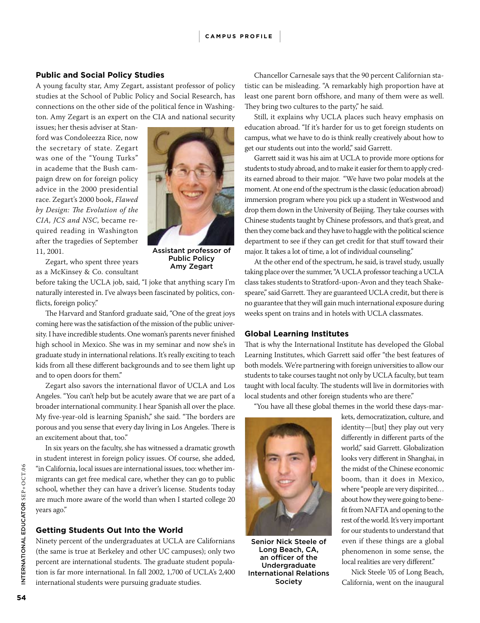# <sup>|</sup> **CA M P <sup>U</sup> S P RO <sup>F</sup> IL <sup>E</sup>**<sup>|</sup>

# **Public and Social Policy Studies**

A young faculty star, Amy Zegart, assistant professor of policy studies at the School of Public Policy and Social Research, has connections on the other side of the political fence in Washington. Amy Zegart is an expert on the CIA and national security

issues; her thesis adviser at Stanford was Condoleezza Rice, now the secretary of state. Zegart was one of the "Young Turks" in academe that the Bush campaign drew on for foreign policy advice in the 2000 presidential race. Zegart's 2000 book, *Flawed by Design: The Evolution of the CIA, JCS and NSC*, became required reading in Washington after the tragedies of September 11, 2001.



Assistant professor of Public Policy Amy Zegart

Zegart, who spent three years as a McKinsey & Co. consultant

before taking the UCLA job, said, "I joke that anything scary I'm naturally interested in. I've always been fascinated by politics, conflicts, foreign policy."

The Harvard and Stanford graduate said, "One of the great joys coming here was the satisfaction of the mission of the public university. I have incredible students. One woman's parents never finished high school in Mexico. She was in my seminar and now she's in graduate study in international relations. It's really exciting to teach kids from all these different backgrounds and to see them light up and to open doors for them."

Zegart also savors the international flavor of UCLA and Los Angeles. "You can't help but be acutely aware that we are part of a broader international community. I hear Spanish all over the place. My five-year-old is learning Spanish," she said. "The borders are porous and you sense that every day living in Los Angeles. There is an excitement about that, too."

In six years on the faculty, she has witnessed a dramatic growth in student interest in foreign policy issues. Of course, she added, "in California, local issues are international issues, too: whether immigrants can get free medical care, whether they can go to public school, whether they can have a driver's license. Students today are much more aware of the world than when I started college 20 years ago."

# **Getting Students Out Into the World**

Ninety percent of the undergraduates at UCLA are Californians (the same is true at Berkeley and other UC campuses); only two percent are international students. The graduate student population is far more international. In fall 2002, 1,700 of UCLA's 2,400 international students were pursuing graduate studies.

Chancellor Carnesale says that the 90 percent Californian statistic can be misleading. "A remarkably high proportion have at least one parent born offshore, and many of them were as well. They bring two cultures to the party," he said.

Still, it explains why UCLA places such heavy emphasis on education abroad. "If it's harder for us to get foreign students on campus, what we have to do is think really creatively about how to get our students out into the world," said Garrett.

Garrett said it was his aim at UCLA to provide more options for students to study abroad, and to make it easier for them to apply credits earned abroad to their major. "We have two polar models at the moment. At one end of the spectrum is the classic (education abroad) immersion program where you pick up a student in Westwood and drop them down in the University of Beijing. They take courses with Chinese students taught by Chinese professors, and that's great, and then they come back and they have to haggle with the political science department to see if they can get credit for that stuff toward their major. It takes a lot of time, a lot of individual counseling."

At the other end of the spectrum, he said, is travel study, usually taking place over the summer, "A UCLA professor teaching a UCLA class takes students to Stratford-upon-Avon and they teach Shakespeare," said Garrett. They are guaranteed UCLA credit, but there is no guarantee that they will gain much international exposure during weeks spent on trains and in hotels with UCLA classmates.

# **Global Learning Institutes**

That is why the International Institute has developed the Global Learning Institutes, which Garrett said offer "the best features of both models. We're partnering with foreign universities to allow our students to take courses taught not only by UCLA faculty, but team taught with local faculty. The students will live in dormitories with local students and other foreign students who are there."

"You have all these global themes in the world these days-mar-



Senior Nick Steele of Long Beach, CA, an officer of the Undergraduate International Relations Society

kets, democratization, culture, and identity—[but] they play out very differently in different parts of the world," said Garrett. Globalization looks very different in Shanghai, in the midst of the Chinese economic boom, than it does in Mexico, where "people are very dispirited... about how they were going to benefit from NAFTA and opening to the rest of the world. It's very important for our students to understand that even if these things are a global phenomenon in some sense, the local realities are very different."

Nick Steele '05 of Long Beach, California, went on the inaugural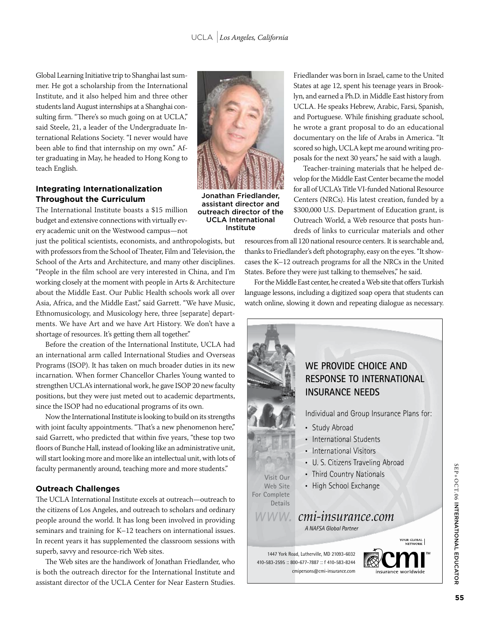Global Learning Initiative trip to Shanghai last summer. He got a scholarship from the International  $\begin{array}{|c|c|} \hline \multicolumn{1}{|c|}{\parallel} \hline \multicolumn{1}{|c|}{\parallel} \hline \multicolumn{1}{|c|}{\parallel} \hline \multicolumn{1}{|c|}{\parallel} \multicolumn{1}{|c|}{\parallel} \hline \multicolumn{1}{|c|}{\parallel} \multicolumn{1}{|c|}{\parallel} \multicolumn{1}{|c|}{\parallel} \multicolumn{1}{|c|}{\parallel} \multicolumn{1}{|c|}{\parallel} \multicolumn{$  $\;$  Institute, and it also helped him and three other  $\;$  . The state of  $\;$ students land August internships at a Shanghai con-9' ( '< &2'<, <(8 2 &)83!3 <(82 "'36"686"(' sulting firm. "There's so much going on at  $\mathrm{UCLA}$ ,"  $\Box$ said Steele, 21, a leader of the Undergraduate In-Charles Cornelis Cornelis Cornelis Cornelis Cornelis Cornelis ternational Relations Society. "I never would have **the society** of the state of  $\mathbb{R}^n$ been able to find that internship on my own." After graduating in May, he headed to Hong Kong to Andrew States and States and States and States and teach English. 2 392% (6 2 ;&)%3 (' 6 , 2 2 3(& 6 "'3 6(5

# **Integrating Internationalization Throughout the Curriculum**

The International Institute boasts a \$15 million budget and extensive connections with virtually ev-<br> ery academic unit on the Westwood campus—not **Inst** 

just the political scientists, economists, and anthropologists, but with professors from the School of Theater, Film and Television, the School of the Arts and Architecture, and many other disciplines. "People in the film school are very interested in China, and I'm working closely at the moment with people in Arts & Architecture about the Middle East. Our Public Health schools work all over Asia, Africa, and the Middle East," said Garrett. "We have Music, that, three, and the finality halo, and different worker filed, the file of the propert-<br>Ethnomusicology, and Musicology here, three [separate] departments. We have Art and we have Art History. We don't have a  $\overline{\phantom{a}}$  shortage of resources. It's getting them all together."

Before the creation of the International Institute, UCLA had Before the creation of the International Institute, UCLA had Before the ereation of the international mistitute, OCEA had<br>an international arm called International Studies and Overseas no international and called international chance and correction Programs (ISOP). It has taken on much broader duties in its new incarnation. When former Chancellor Charles Young wanted to strengthen UCLA's international work, he gave ISOP 20 new faculty positions, but they were just meted out to academic departments, since the ISOP had no educational programs of its own.  $\frac{1}{2}$   $\frac{1}{2}$   $\frac{1}{2}$   $\frac{1}{2}$   $\frac{1}{2}$   $\frac{1}{2}$   $\frac{1}{2}$   $\frac{1}{2}$   $\frac{1}{2}$   $\frac{1}{2}$   $\frac{1}{2}$   $\frac{1}{2}$   $\frac{1}{2}$   $\frac{1}{2}$   $\frac{1}{2}$   $\frac{1}{2}$   $\frac{1}{2}$   $\frac{1}{2}$   $\frac{1}{2}$   $\frac{1}{2}$   $\frac{1}{2}$   $\frac{1}{2}$   $\frac{3}{1}$   $\frac{3}{2}$   $\frac{3}{2}$   $\frac{3}{2}$   $\frac{3}{2}$   $\frac{3}{2}$   $\frac{3}{2}$   $\frac{3}{2}$   $\frac{3}{2}$   $\frac{3}{2}$   $\frac{3}{2}$   $\frac{3}{2}$   $\frac{3}{2}$   $\frac{3}{2}$   $\frac{3}{2}$   $\frac{3}{2}$   $\frac{3}{2}$   $\frac{3}{2}$   $\frac{3}{2}$   $\frac{3}{2}$   $\frac{3}{2}$   $\frac{3}{2}$   $\alpha$  in the first may no culturational programs of its own.

Now the International Institute is looking to build on its strengths<br> with joint faculty appointments. "That's a new phenomenon here,"  $\overline{\phantom{a}}$ said Garrett, who predicted that within five years, "these top two floors of Bunche Hall, instead of looking like an administrative unit,  $\,$ will start looking more and more like an intellectual unit, with lots of faculty permanently around, teaching more and more students."

#### **Outreach Challenges** utreach Challenges

The UCLA International Institute excels at outreach—outreach to  $\,$ the citizens of Los Angeles, and outreach to scholars and ordinary people around the world. It has long been involved in providing seminars and training for K–12 teachers on international issues. In recent years it has supplemented the classroom sessions with<br>superb, savvy and resource-rich Web sites. superb, savvy and resource-rich Web sites.

The Web sites are the handiwork of Jonathan Friedlander, who is both the outreach director for the International Institute and assistant director of the UCLA Center for Near Eastern Studies.



Jonathan Friedlander, assistant director and outreach director of the UCLA International Institute

Friedlander was born in Israel, came to the United States at age 12, spent his teenage years in Brook-**Example 12** Iyn, and earned a Ph.D. in Middle East history from UCLA. He speaks Hebrew, Arabic, Farsi, Spanish, and Portuguese. While finishing graduate school, **Example 23382 in the wrote a grant proposal to do an educational**  $\blacksquare$  documentary on the life of Arabs in America. "It scored so high, UCLA kept me around writing pro- $\mathbb{R}$  posals for the next 30 years," he said with a laugh.

 $\mathbb{Z}^2$  ) Teacher-training materials that he helped develop for the Middle East Center became the model **E SIMBLE 1** for all of UCLA's Title VI-funded National Resource Centers (NRCs). His latest creation, funded by a  $\frac{3300,000}{2}$  U.S. Department of Education grant, is national Cutreach World, a Web resource that posts hun**ite** dreds of links to curricular materials and other

resources from all 120 national resource centers. It is searchable and, thanks to Friedlander's deft photography, easy on the eyes. "It showcases the K-12 outreach programs for all the NRCs in the United States. Before they were just talking to themselves," he said.

For the Middle East center, he created a Web site that offers Turkish language lessons, including a digitized soap opera that students can throughing the state of the state of the state of the state of the state of the state of the state of the state of the state of the state of the state of the state of the state of the state of the state of the state of the

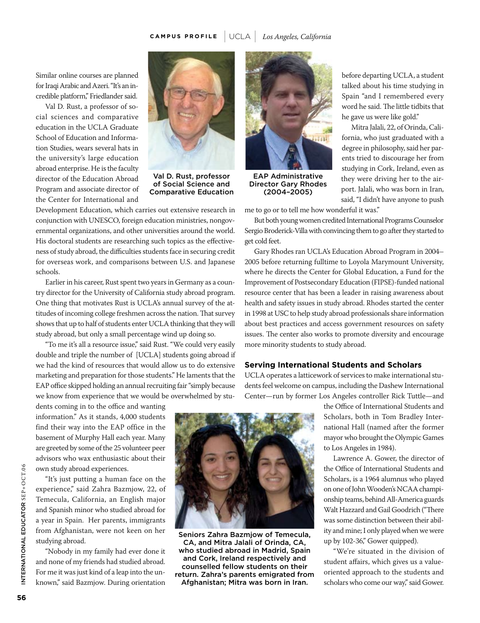# **CA M P <sup>U</sup> S P RO <sup>F</sup> IL <sup>E</sup>**<sup>|</sup> UCLA <sup>|</sup> *Los Angeles, California*

Similar online courses are planned for Iraqi Arabic and Azeri. "It's an incredible platform," Friedlander said.

Val D. Rust, a professor of social sciences and comparative education in the UCLA Graduate School of Education and Information Studies, wears several hats in the university's large education abroad enterprise. He is the faculty director of the Education Abroad Program and associate director of the Center for International and



Val D. Rust, professor of Social Science and Comparative Education

Development Education, which carries out extensive research in conjunction with UNESCO, foreign education ministries, nongovernmental organizations, and other universities around the world. His doctoral students are researching such topics as the effectiveness of study abroad, the difficulties students face in securing credit for overseas work, and comparisons between U.S. and Japanese schools.

Earlier in his career, Rust spent two years in Germany as a country director for the University of California study abroad program. One thing that motivates Rust is UCLA's annual survey of the attitudes of incoming college freshmen across the nation. That survey shows that up to half of students enter UCLA thinking that they will study abroad, but only a small percentage wind up doing so.

"To me it's all a resource issue," said Rust. "We could very easily double and triple the number of [UCLA] students going abroad if we had the kind of resources that would allow us to do extensive marketing and preparation for those students." He laments that the EAP office skipped holding an annual recruiting fair "simply because we know from experience that we would be overwhelmed by stu-

dents coming in to the office and wanting information." As it stands, 4,000 students find their way into the EAP office in the basement of Murphy Hall each year. Many are greeted by some of the 25 volunteer peer advisors who wax enthusiastic about their own study abroad experiences.

"It's just putting a human face on the experience," said Zahra Bazmjow, 22, of Temecula, California, an English major and Spanish minor who studied abroad for a year in Spain. Her parents, immigrants from Afghanistan, were not keen on her studying abroad.

"Nobody in my family had ever done it and none of my friends had studied abroad. For me it was just kind of a leap into the unknown," said Bazmjow. During orientation



Seniors Zahra Bazmjow of Temecula, CA, and Mitra Jalali of Orinda, CA, who studied abroad in Madrid, Spain and Cork, Ireland respectively and counselled fellow students on their return. Zahra's parents emigrated from Afghanistan; Mitra was born in Iran.



EAP Administrative Director Gary Rhodes (2004–2005)

me to go or to tell me how wonderful it was."

But both young women credited International Programs Counselor Sergio Broderick-Villa with convincing them to go after they started to get cold feet.

before departing UCLA, a student talked about his time studying in Spain "and I remembered every word he said. The little tidbits that

Mitra Jalali, 22, of Orinda, California, who just graduated with a degree in philosophy, said her parents tried to discourage her from studying in Cork, Ireland, even as they were driving her to the airport. Jalali, who was born in Iran, said, "I didn't have anyone to push

he gave us were like gold."

Gary Rhodes ran UCLA's Education Abroad Program in 2004– 2005 before returning fulltime to Loyola Marymount University, where he directs the Center for Global Education, a Fund for the Improvement of Postsecondary Education (FIPSE)-funded national resource center that has been a leader in raising awareness about health and safety issues in study abroad. Rhodes started the center in 1998 at USC to help study abroad professionals share information about best practices and access government resources on safety issues. The center also works to promote diversity and encourage more minority students to study abroad.

# **Serving International Students and Scholars**

UCLA operates a latticework of services to make international students feel welcome on campus, including the Dashew International Center—run by former Los Angeles controller Rick Tuttle—and

> the Office of International Students and Scholars, both in Tom Bradley International Hall (named after the former mayor who brought the Olympic Games to Los Angeles in 1984).

> Lawrence A. Gower, the director of the Office of International Students and Scholars, is a 1964 alumnus who played on one of John Wooden's NCAA championship teams, behind All-America guards Walt Hazzard and Gail Goodrich ("There was some distinction between their ability and mine; I only played when we were up by 102-36," Gower quipped).

> "We're situated in the division of student affairs, which gives us a valueoriented approach to the students and scholars who come our way," said Gower.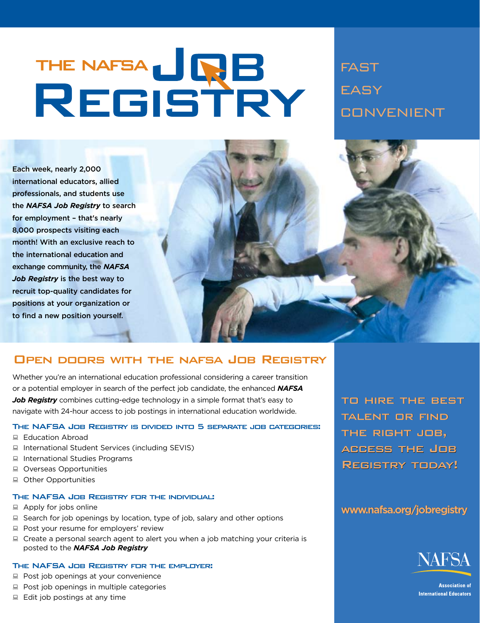# THE NAFSA JRB<br>REGISTRY

**FAST EASY CONVENIENT** 

Each week, nearly 2,000 international educators, allied professionals, and students use the **NAFSA Job Registry** to search for employment - that's nearly 8,000 prospects visiting each month! With an exclusive reach to the international education and exchange community, the NAFSA *Job Registry* is the best way to recruit top-quality candidates for positions at your organization or to find a new position yourself.

# OPEN DOORS WITH THE NAFSA JOB REGISTRY

NAFSA

Job Registry

 $p$ 

**Page 57** 

Whether you're an international education professional considering a career transition or a potential employer in search of the perfect job candidate, the enhanced **NAFSA** *Job Registry* combines cutting-edge technology in a simple format that's easy to navigate with 24-hour access to job postings in international education worldwide.

# THE NAFSA JOB REGISTRY IS DIVIDED INTO 5 SEPARATE JOB CATEGORIES:

- Education Abroad
- $\Box$  International Student Services (including SEVIS)
- $\Box$  International Studies Programs
- Overseas Opportunities
- $\Box$  Other Opportunities

# THE NAFSA JOB REGISTRY FOR THE INDIVIDUAL:

- $\Box$  Apply for jobs online
- $\Box$  Search for job openings by location, type of job, salary and other options
- $\Box$  Post your resume for employers' review
- $\Box$  Create a personal search agent to alert you when a job matching your criteria is posted to the **NAFSA Job Registry**

# THE NAFSA JOB REGISTRY FOR THE EMPLOYER:

- $\Box$  Post job openings at your convenience
- $\Box$  Post job openings in multiple categories
- $\Box$  Edit job postings at any time

TO HIRE THE BEST TALENT OR FIND THE RIGHT JOB, ACCESS THE JOB REGISTRY TODAY!

# www.nafsa.org/jobregistry



**Association of International Educators**